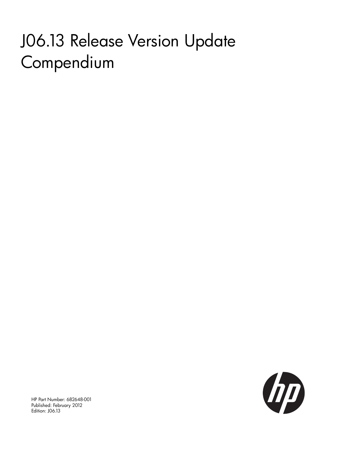# J06.13 Release Version Update Compendium



HP Part Number: 682648-001 Published: February 2012 Edition: J06.13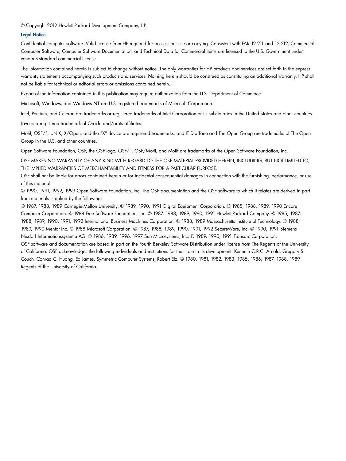© Copyright 2012 Hewlett-Packard Development Company, L.P.

#### Legal Notice

Confidential computer software. Valid license from HP required for possession, use or copying. Consistent with FAR 12.211 and 12.212, Commercial Computer Software, Computer Software Documentation, and Technical Data for Commercial Items are licensed to the U.S. Government under vendor's standard commercial license.

The information contained herein is subject to change without notice. The only warranties for HP products and services are set forth in the express warranty statements accompanying such products and services. Nothing herein should be construed as constituting an additional warranty. HP shall not be liable for technical or editorial errors or omissions contained herein.

Export of the information contained in this publication may require authorization from the U.S. Department of Commerce.

Microsoft, Windows, and Windows NT are U.S. registered trademarks of Microsoft Corporation.

Intel, Pentium, and Celeron are trademarks or registered trademarks of Intel Corporation or its subsidiaries in the United States and other countries.

Java is a registered trademark of Oracle and/or its affiliates.

Motif, OSF/1, UNIX, X/Open, and the "X" device are registered trademarks, and IT DialTone and The Open Group are trademarks of The Open Group in the U.S. and other countries.

Open Software Foundation, OSF, the OSF logo, OSF/1, OSF/Motif, and Motif are trademarks of the Open Software Foundation, Inc.

OSF MAKES NO WARRANTY OF ANY KIND WITH REGARD TO THE OSF MATERIAL PROVIDED HEREIN, INCLUDING, BUT NOT LIMITED TO, THE IMPLIED WARRANTIES OF MERCHANTABILITY AND FITNESS FOR A PARTICULAR PURPOSE.

OSF shall not be liable for errors contained herein or for incidental consequential damages in connection with the furnishing, performance, or use of this material.

© 1990, 1991, 1992, 1993 Open Software Foundation, Inc. The OSF documentation and the OSF software to which it relates are derived in part from materials supplied by the following:

© 1987, 1988, 1989 Carnegie-Mellon University. © 1989, 1990, 1991 Digital Equipment Corporation. © 1985, 1988, 1989, 1990 Encore Computer Corporation. © 1988 Free Software Foundation, Inc. © 1987, 1988, 1989, 1990, 1991 Hewlett-Packard Company. © 1985, 1987, 1988, 1989, 1990, 1991, 1992 International Business Machines Corporation. © 1988, 1989 Massachusetts Institute of Technology. © 1988, 1989, 1990 Mentat Inc. © 1988 Microsoft Corporation. © 1987, 1988, 1989, 1990, 1991, 1992 SecureWare, Inc. © 1990, 1991 Siemens Nixdorf Informationssysteme AG. © 1986, 1989, 1996, 1997 Sun Microsystems, Inc. © 1989, 1990, 1991 Transarc Corporation.

OSF software and documentation are based in part on the Fourth Berkeley Software Distribution under license from The Regents of the University of California. OSF acknowledges the following individuals and institutions for their role in its development: Kenneth C.R.C. Arnold, Gregory S. Couch, Conrad C. Huang, Ed James, Symmetric Computer Systems, Robert Elz. © 1980, 1981, 1982, 1983, 1985, 1986, 1987, 1988, 1989 Regents of the University of California.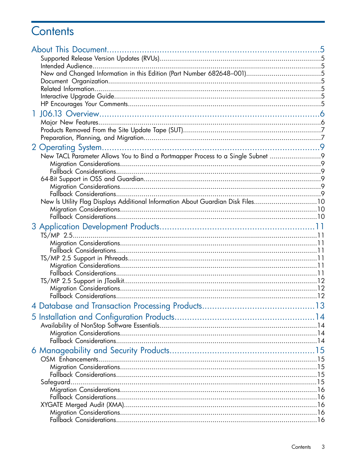## Contents

| T |                                                                                 |  |
|---|---------------------------------------------------------------------------------|--|
|   |                                                                                 |  |
|   |                                                                                 |  |
|   |                                                                                 |  |
|   |                                                                                 |  |
|   | New TACL Parameter Allows You to Bind a Portmapper Process to a Single Subnet 9 |  |
|   |                                                                                 |  |
|   |                                                                                 |  |
|   |                                                                                 |  |
|   |                                                                                 |  |
|   |                                                                                 |  |
|   | New Is Utility Flag Displays Additional Information About Guardian Disk Files10 |  |
|   |                                                                                 |  |
|   |                                                                                 |  |
|   |                                                                                 |  |
|   |                                                                                 |  |
|   |                                                                                 |  |
|   |                                                                                 |  |
|   |                                                                                 |  |
|   |                                                                                 |  |
|   |                                                                                 |  |
|   |                                                                                 |  |
|   |                                                                                 |  |
|   |                                                                                 |  |
|   |                                                                                 |  |
|   |                                                                                 |  |
|   |                                                                                 |  |
|   |                                                                                 |  |
|   |                                                                                 |  |
|   |                                                                                 |  |
|   |                                                                                 |  |
|   |                                                                                 |  |
|   |                                                                                 |  |
|   |                                                                                 |  |
|   |                                                                                 |  |
|   |                                                                                 |  |
|   |                                                                                 |  |
|   |                                                                                 |  |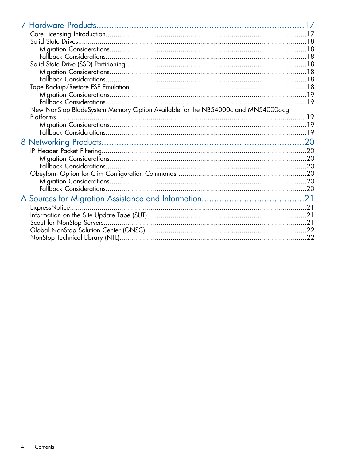| New NonStop BladeSystem Memory Option Available for the NB54000c and MN54000c-cg |  |
|----------------------------------------------------------------------------------|--|
| Platforms.                                                                       |  |
|                                                                                  |  |
|                                                                                  |  |
|                                                                                  |  |
|                                                                                  |  |
|                                                                                  |  |
|                                                                                  |  |
|                                                                                  |  |
|                                                                                  |  |
|                                                                                  |  |
|                                                                                  |  |
| ExpressNotice                                                                    |  |
|                                                                                  |  |
|                                                                                  |  |
|                                                                                  |  |
|                                                                                  |  |
|                                                                                  |  |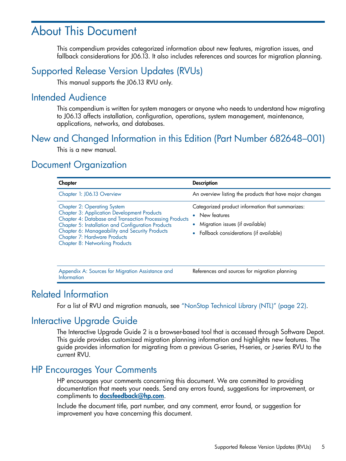## <span id="page-4-0"></span>About This Document

<span id="page-4-1"></span>This compendium provides categorized information about new features, migration issues, and fallback considerations for J06.13. It also includes references and sources for migration planning.

### Supported Release Version Updates (RVUs)

<span id="page-4-2"></span>This manual supports the J06.13 RVU only.

#### Intended Audience

<span id="page-4-3"></span>This compendium is written for system managers or anyone who needs to understand how migrating to J06.13 affects installation, configuration, operations, system management, maintenance, applications, networks, and databases.

### New and Changed Information in this Edition (Part Number 682648–001)

<span id="page-4-4"></span>This is a new manual.

### Document Organization

| Chapter                                                                                                                                                                                                                                                                                                                                            | <b>Description</b>                                                                                                                                     |
|----------------------------------------------------------------------------------------------------------------------------------------------------------------------------------------------------------------------------------------------------------------------------------------------------------------------------------------------------|--------------------------------------------------------------------------------------------------------------------------------------------------------|
| Chapter 1: J06.13 Overview                                                                                                                                                                                                                                                                                                                         | An overview listing the products that have major changes                                                                                               |
| <b>Chapter 2: Operating System</b><br><b>Chapter 3: Application Development Products</b><br><b>Chapter 4: Database and Transaction Processing Products</b><br>Chapter 5: Installation and Configuration Products<br>Chapter 6: Manageability and Security Products<br><b>Chapter 7: Hardware Products</b><br><b>Chapter 8: Networking Products</b> | Categorized product information that summarizes:<br>New features<br>۰<br>• Migration issues (if available)<br>• Fallback considerations (if available) |

<span id="page-4-6"></span><span id="page-4-5"></span>Appendix A: Sources for Migration [Assistance](#page-20-0) and **References and sources for migration planning** [Information](#page-20-0)

#### Related Information

For a list of RVU and migration manuals, see ["NonStop](#page-21-1) Technical Library (NTL)" (page 22).

### Interactive Upgrade Guide

<span id="page-4-7"></span>The Interactive Upgrade Guide 2 is a browser-based tool that is accessed through Software Depot. This guide provides customized migration planning information and highlights new features. The guide provides information for migrating from a previous G-series, H-series, or J-series RVU to the current RVU.

### HP Encourages Your Comments

HP encourages your comments concerning this document. We are committed to providing documentation that meets your needs. Send any errors found, suggestions for improvement, or compliments to **[docsfeedback@hp.com](mailto:docsfeedback@hp.com)**.

Include the document title, part number, and any comment, error found, or suggestion for improvement you have concerning this document.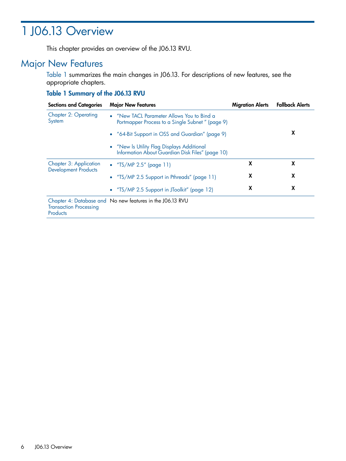## <span id="page-5-0"></span>1 J06.13 Overview

<span id="page-5-1"></span>This chapter provides an overview of the J06.13 RVU.

### Major New Features

[Table](#page-5-2) 1 summarizes the main changes in J06.13. For descriptions of new features, see the appropriate chapters.

#### <span id="page-5-2"></span>Table 1 Summary of the J06.13 RVU

| <b>Sections and Categories</b>                               | <b>Major New Features</b>                                                                      | <b>Migration Alerts</b> | <b>Fallback Alerts</b> |
|--------------------------------------------------------------|------------------------------------------------------------------------------------------------|-------------------------|------------------------|
| <b>Chapter 2: Operating</b><br>System                        | • "New TACL Parameter Allows You to Bind a<br>Portmapper Process to a Single Subnet " (page 9) |                         |                        |
|                                                              | • "64-Bit Support in OSS and Guardian" (page 9)                                                |                         | X                      |
|                                                              | • "New Is Utility Flag Displays Additional<br>Information About Guardian Disk Files" (page 10) |                         |                        |
| <b>Chapter 3: Application</b><br><b>Development Products</b> | • $T S/MP 2.5''$ (page 11)                                                                     | X                       | X                      |
|                                                              | • "TS/MP 2.5 Support in Pthreads" (page 11)                                                    | X                       | X                      |
|                                                              | • "TS/MP 2.5 Support in JToolkit" (page 12)                                                    | X                       | X                      |
| <b>Transaction Processing</b><br><b>Products</b>             | Chapter 4: Database and No new features in the J06.13 RVU                                      |                         |                        |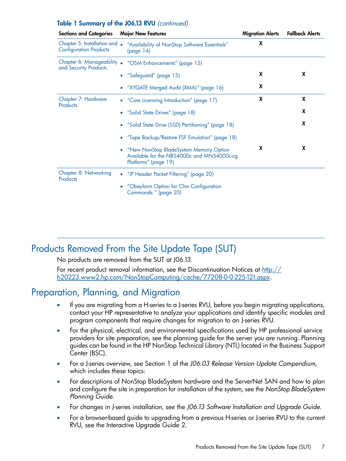#### Table 1 Summary of the J06.13 RVU *(continued)*

| <b>Sections and Categories</b>                                 | <b>Major New Features</b>                                                                                    | <b>Migration Alerts</b> | <b>Fallback Alerts</b> |
|----------------------------------------------------------------|--------------------------------------------------------------------------------------------------------------|-------------------------|------------------------|
| Chapter 5: Installation and .<br><b>Configuration Products</b> | "Availability of NonStop Software Essentials"<br>(page 14)                                                   | X                       |                        |
| Chapter 6: Manageability<br>and Security Products              | "OSM Enhancements" (page 15)<br>$\bullet$                                                                    |                         |                        |
|                                                                | • "Safeguard" (page 15)                                                                                      | X                       | X                      |
|                                                                | "XYGATE Merged Audit (XMA)" (page 16)                                                                        | X                       |                        |
| Chapter 7: Hardware<br>Products                                | • "Core Licensing Introduction" (page 17)                                                                    | X                       | X                      |
|                                                                | "Solid State Drives" (page 18)                                                                               |                         | X                      |
|                                                                | • "Solid State Drive (SSD) Partitioning" (page 18)                                                           |                         | X                      |
|                                                                | "Tape Backup/Restore FSF Emulation" (page 18)                                                                |                         |                        |
|                                                                | "New NonStop BladeSystem Memory Option<br>Available for the NB54000c and MN54000c-cg<br>Platforms" (page 19) | X                       | X                      |
| Chapter 8: Networking<br>Products                              | "IP Header Packet Filtering" (page 20)                                                                       |                         |                        |
|                                                                | "Obeyform Option for Clim Configuration<br>Commands " (page 20)                                              |                         |                        |

### <span id="page-6-0"></span>Products Removed From the Site Update Tape (SUT)

<span id="page-6-1"></span>No products are removed from the SUT at J06.13.

For recent product removal information, see the Discontinuation Notices at [http://](http://h20223.www2.hp.com/NonStopComputing/cache/77208-0-0-225-121.aspx) [h20223.www2.hp.com/NonStopComputing/cache/77208-0-0-225-121.aspx](http://h20223.www2.hp.com/NonStopComputing/cache/77208-0-0-225-121.aspx).

### Preparation, Planning, and Migration

- If you are migrating from a H-series to a J-series RVU, before you begin migrating applications, contact your HP representative to analyze your applications and identify specific modules and program components that require changes for migration to an J-series RVU.
- For the physical, electrical, and environmental specifications used by HP professional service providers for site preparation, see the planning guide for the server you are running. Planning guides can be found in the HP NonStop Technical Library (NTL) located in the Business Support Center (BSC).
- For a J-series overview, see Section 1 of the *J06.03 Release Version Update Compendium*, which includes these topics:
- For descriptions of NonStop BladeSystem hardware and the ServerNet SAN and how to plan and configure the site in preparation for installation of the system, see the *NonStop BladeSystem Planning Guide*.
- For changes in J-series installation, see the *J06.13 Software Installation and Upgrade Guide.*
- For a browser-based guide to upgrading from a previous H-series or J-series RVU to the current RVU, see the Interactive Upgrade Guide 2.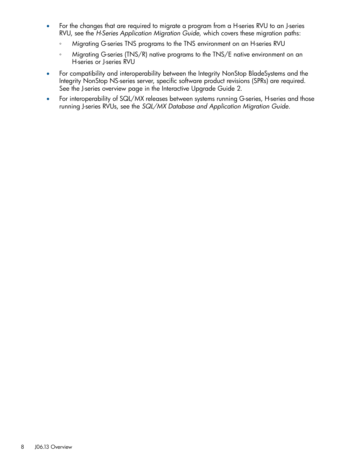- For the changes that are required to migrate a program from a H-series RVU to an J-series RVU, see the *H-Series Application Migration Guide*, which covers these migration paths:
	- Migrating G-series TNS programs to the TNS environment on an H-series RVU
	- Migrating G-series (TNS/R) native programs to the TNS/E native environment on an H-series or J-series RVU
- For compatibility and interoperability between the Integrity NonStop BladeSystems and the Integrity NonStop NS-series server, specific software product revisions (SPRs) are required. See the J-series overview page in the Interactive Upgrade Guide 2.
- For interoperability of SQL/MX releases between systems running G-series, H-series and those running J-series RVUs, see the *SQL/MX Database and Application Migration Guide*.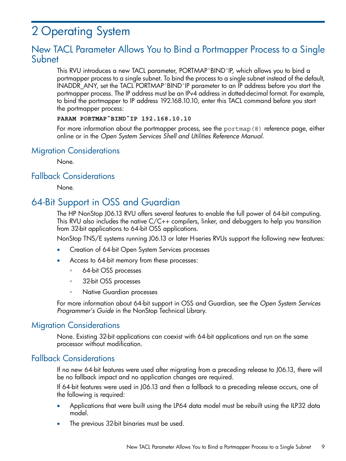## <span id="page-8-0"></span>2 Operating System

### <span id="page-8-1"></span>New TACL Parameter Allows You to Bind a Portmapper Process to a Single Subnet

This RVU introduces a new TACL parameter, PORTMAPˆBINDˆIP, which allows you to bind a portmapper process to a single subnet. To bind the process to a single subnet instead of the default, INADDR\_ANY, set the TACL PORTMAPˆBINDˆIP parameter to an IP address before you start the portmapper process. The IP address must be an IPv4 address in dotted-decimal format. For example, to bind the portmapper to IP address 192.168.10.10, enter this TACL command before you start the portmapper process:

#### **PARAM PORTMAPˆBINDˆIP 192.168.10.10**

<span id="page-8-2"></span>For more information about the portmapper process, see the portmap(8) reference page, either online or in the *Open System Services Shell and Utilities Reference Manual*.

#### Migration Considerations

<span id="page-8-3"></span>None.

#### Fallback Considerations

<span id="page-8-4"></span>None.

### 64-Bit Support in OSS and Guardian

The HP NonStop J06.13 RVU offers several features to enable the full power of 64-bit computing. This RVU also includes the native C/C++ compilers, linker, and debuggers to help you transition from 32-bit applications to 64-bit OSS applications.

NonStop TNS/E systems running J06.13 or later H-series RVUs support the following new features:

- Creation of 64-bit Open System Services processes
- Access to 64-bit memory from these processes:
	- 64-bit OSS processes
	- 32-bit OSS processes
	- Native Guardian processes

<span id="page-8-6"></span><span id="page-8-5"></span>For more information about 64-bit support in OSS and Guardian, see the *Open System Services Programmer's Guide* in the NonStop Technical Library.

#### Migration Considerations

None. Existing 32-bit applications can coexist with 64-bit applications and run on the same processor without modification.

#### Fallback Considerations

If no new 64-bit features were used after migrating from a preceding release to J06.13, there will be no fallback impact and no application changes are required.

If 64-bit features were used in J06.13 and then a fallback to a preceding release occurs, one of the following is required:

- Applications that were built using the LP64 data model must be rebuilt using the ILP32 data model.
- The previous 32-bit binaries must be used.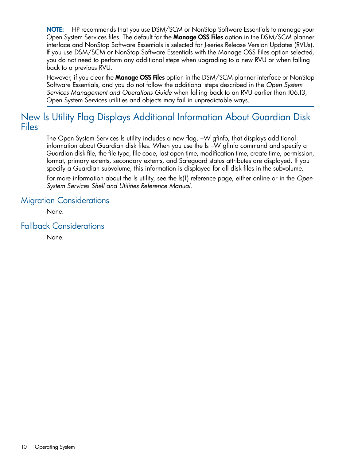NOTE: HP recommends that you use DSM/SCM or NonStop Software Essentials to manage your Open System Services files. The default for the **Manage OSS Files** option in the DSM/SCM planner interface and NonStop Software Essentials is selected for J-series Release Version Updates (RVUs). If you use DSM/SCM or NonStop Software Essentials with the Manage OSS Files option selected, you do not need to perform any additional steps when upgrading to a new RVU or when falling back to a previous RVU.

However, if you clear the **Manage OSS Files** option in the DSM/SCM planner interface or NonStop Software Essentials, and you do not follow the additional steps described in the *Open System Services Management and Operations Guide* when falling back to an RVU earlier than J06.13, Open System Services utilities and objects may fail in unpredictable ways.

### <span id="page-9-0"></span>New ls Utility Flag Displays Additional Information About Guardian Disk Files

The Open System Services ls utility includes a new flag, –W gfinfo, that displays additional information about Guardian disk files. When you use the ls –W gfinfo command and specify a Guardian disk file, the file type, file code, last open time, modification time, create time, permission, format, primary extents, secondary extents, and Safeguard status attributes are displayed. If you specify a Guardian subvolume, this information is displayed for all disk files in the subvolume.

<span id="page-9-1"></span>For more information about the ls utility, see the ls(1) reference page, either online or in the *Open System Services Shell and Utilities Reference Manual*.

#### Migration Considerations

<span id="page-9-2"></span>None.

Fallback Considerations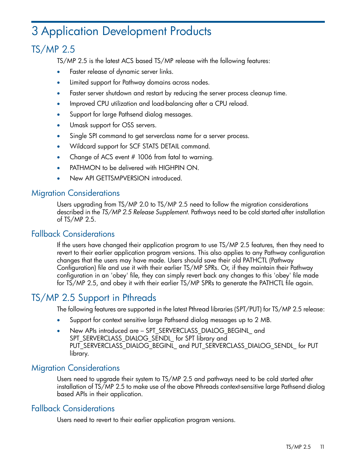## <span id="page-10-0"></span>3 Application Development Products

### TS/MP 2.5

<span id="page-10-1"></span>TS/MP 2.5 is the latest ACS based TS/MP release with the following features:

- Faster release of dynamic server links.
- Limited support for Pathway domains across nodes.
- Faster server shutdown and restart by reducing the server process cleanup time.
- Improved CPU utilization and load-balancing after a CPU reload.
- Support for large Pathsend dialog messages.
- Umask support for OSS servers.
- Single SPI command to get serverclass name for a server process.
- Wildcard support for SCF STATS DETAIL command.
- Change of ACS event # 1006 from fatal to warning.
- <span id="page-10-2"></span>PATHMON to be delivered with HIGHPIN ON.
- New API GETTSMPVERSION introduced.

#### Migration Considerations

<span id="page-10-3"></span>Users upgrading from TS/MP 2.0 to TS/MP 2.5 need to follow the migration considerations described in the *TS/MP 2.5 Release Supplement*. Pathways need to be cold started after installation of TS/MP 2.5.

#### Fallback Considerations

<span id="page-10-4"></span>If the users have changed their application program to use TS/MP 2.5 features, then they need to revert to their earlier application program versions. This also applies to any Pathway configuration changes that the users may have made. Users should save their old PATHCTL (Pathway Configuration) file and use it with their earlier TS/MP SPRs. Or, if they maintain their Pathway configuration in an 'obey' file, they can simply revert back any changes to this 'obey' file made for TS/MP 2.5, and obey it with their earlier TS/MP SPRs to generate the PATHCTL file again.

### TS/MP 2.5 Support in Pthreads

The following features are supported in the latest Pthread libraries (SPT/PUT) for TS/MP 2.5 release:

- Support for context sensitive large Pathsend dialog messages up to 2 MB.
- <span id="page-10-5"></span>• New APIs introduced are – SPT\_SERVERCLASS\_DIALOG\_BEGINL\_ and SPT\_SERVERCLASS\_DIALOG\_SENDL\_ for SPT library and PUT\_SERVERCLASS\_DIALOG\_BEGINL\_ and PUT\_SERVERCLASS\_DIALOG\_SENDL\_ for PUT library.

#### Migration Considerations

<span id="page-10-6"></span>Users need to upgrade their system to TS/MP 2.5 and pathways need to be cold started after installation of TS/MP 2.5 to make use of the above Pthreads context-sensitive large Pathsend dialog based APIs in their application.

#### Fallback Considerations

Users need to revert to their earlier application program versions.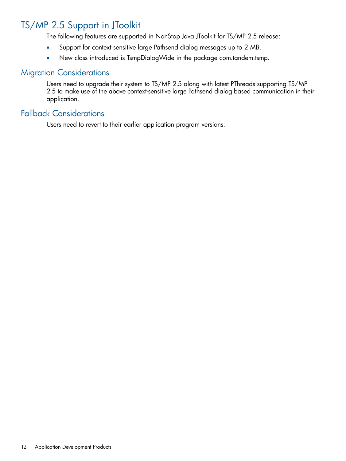### TS/MP 2.5 Support in JToolkit

<span id="page-11-0"></span>The following features are supported in NonStop Java JToolkit for TS/MP 2.5 release:

- Support for context sensitive large Pathsend dialog messages up to 2 MB.
- <span id="page-11-1"></span>• New class introduced is TsmpDialogWide in the package com.tandem.tsmp.

#### Migration Considerations

<span id="page-11-2"></span>Users need to upgrade their system to TS/MP 2.5 along with latest PThreads supporting TS/MP 2.5 to make use of the above context-sensitive large Pathsend dialog based communication in their application.

#### Fallback Considerations

Users need to revert to their earlier application program versions.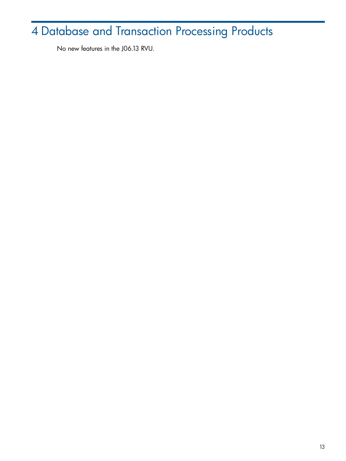## <span id="page-12-0"></span>Database and Transaction Processing Products

No new features in the J06.13 RVU.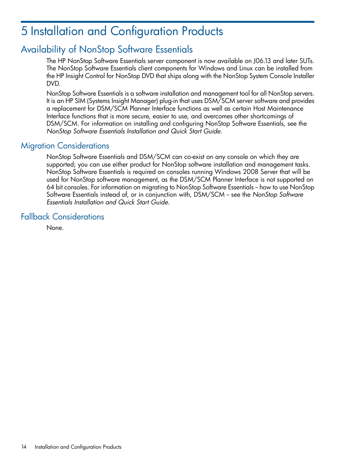## <span id="page-13-0"></span>5 Installation and Configuration Products

### Availability of NonStop Software Essentials

<span id="page-13-1"></span>The HP NonStop Software Essentials server component is now available on J06.13 and later SUTs. The NonStop Software Essentials client components for Windows and Linux can be installed from the HP Insight Control for NonStop DVD that ships along with the NonStop System Console Installer DVD.

NonStop Software Essentials is a software installation and management tool for all NonStop servers. It is an HP SIM (Systems Insight Manager) plug-in that uses DSM/SCM server software and provides a replacement for DSM/SCM Planner Interface functions as well as certain Host Maintenance Interface functions that is more secure, easier to use, and overcomes other shortcomings of DSM/SCM. For information on installing and configuring NonStop Software Essentials, see the *NonStop Software Essentials Installation and Quick Start Guide*.

#### <span id="page-13-2"></span>Migration Considerations

NonStop Software Essentials and DSM/SCM can co-exist on any console on which they are supported; you can use either product for NonStop software installation and management tasks. NonStop Software Essentials is required on consoles running Windows 2008 Server that will be used for NonStop software management, as the DSM/SCM Planner Interface is not supported on 64 bit consoles. For information on migrating to NonStop Software Essentials -- how to use NonStop Software Essentials instead of, or in conjunction with, DSM/SCM -- see the *NonStop Software Essentials Installation and Quick Start Guide*.

#### <span id="page-13-3"></span>Fallback Considerations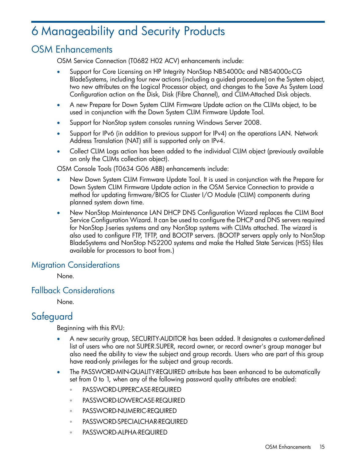## <span id="page-14-0"></span>6 Manageability and Security Products

### OSM Enhancements

<span id="page-14-1"></span>OSM Service Connection (T0682 H02 ACV) enhancements include:

- Support for Core Licensing on HP Integrity NonStop NB54000c and NB54000c-CG BladeSystems, including four new actions (including a guided procedure) on the System object, two new attributes on the Logical Processor object, and changes to the Save As System Load Configuration action on the Disk, Disk (Fibre Channel), and CLIM-Attached Disk objects.
- A new Prepare for Down System CLIM Firmware Update action on the CLIMs object, to be used in conjunction with the Down System CLIM Firmware Update Tool.
- Support for NonStop system consoles running Windows Server 2008.
- Support for IPv6 (in addition to previous support for IPv4) on the operations LAN. Network Address Translation (NAT) still is supported only on IPv4.
- Collect CLIM Logs action has been added to the individual CLIM object (previously available on only the CLIMs collection object).

OSM Console Tools (T0634 G06 ABB) enhancements include:

- New Down System CLIM Firmware Update Tool. It is used in conjunction with the Prepare for Down System CLIM Firmware Update action in the OSM Service Connection to provide a method for updating firmware/BIOS for CLuster I/O Module (CLIM) components during planned system down time.
- <span id="page-14-2"></span>• New NonStop Maintenance LAN DHCP DNS Configuration Wizard replaces the CLIM Boot Service Configuration Wizard. It can be used to configure the DHCP and DNS servers required for NonStop J-series systems and any NonStop systems with CLIMs attached. The wizard is also used to configure FTP, TFTP, and BOOTP servers. (BOOTP servers apply only to NonStop BladeSystems and NonStop NS2200 systems and make the Halted State Services (HSS) files available for processors to boot from.)

#### Migration Considerations

<span id="page-14-4"></span><span id="page-14-3"></span>None.

#### Fallback Considerations

None.

### **Sateguard**

Beginning with this RVU:

- A new security group, SECURITY-AUDITOR has been added. It designates a customer-defined list of users who are not SUPER.SUPER, record owner, or record owner's group manager but also need the ability to view the subject and group records. Users who are part of this group have read-only privileges for the subject and group records.
- The PASSWORD-MIN-QUALITY-REQUIRED attribute has been enhanced to be automatically set from 0 to 1, when any of the following password quality attributes are enabled:
	- PASSWORD-UPPERCASE-REQUIRED
	- PASSWORD-LOWERCASE-REQUIRED
	- PASSWORD-NUMERIC-REQUIRED
	- PASSWORD-SPECIALCHAR-REQUIRED
	- PASSWORD-ALPHA-REQUIRED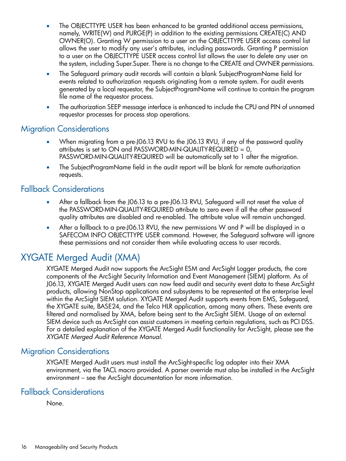- The OBJECTTYPE USER has been enhanced to be granted additional access permissions, namely, WRITE(W) and PURGE(P) in addition to the existing permissions CREATE(C) AND OWNER(O). Granting W permission to a user on the OBJECTTYPE USER access control list allows the user to modify any user's attributes, including passwords. Granting P permission to a user on the OBJECTTYPE USER access control list allows the user to delete any user on the system, including Super.Super. There is no change to the CREATE and OWNER permissions.
- The Safequard primary audit records will contain a blank SubjectProgramName field for events related to authorization requests originating from a remote system. For audit events generated by a local requestor, the SubjectProgramName will continue to contain the program file name of the requestor process.
- <span id="page-15-0"></span>• The authorization SEEP message interface is enhanced to include the CPU and PIN of unnamed requestor processes for process stop operations.

#### Migration Considerations

- When migrating from a pre-J06.13 RVU to the J06.13 RVU, if any of the password quality attributes is set to ON and PASSWORD-MIN-QUALITY-REQUIRED  $= 0$ , PASSWORD-MIN-QUALITY-REQUIRED will be automatically set to 1 after the migration.
- <span id="page-15-1"></span>• The SubjectProgramName field in the audit report will be blank for remote authorization requests.

#### Fallback Considerations

- After a fallback from the J06.13 to a pre-J06.13 RVU, Safeguard will not reset the value of the PASSWORD-MIN-QUALITY-REQUIRED attribute to zero even if all the other password quality attributes are disabled and re-enabled. The attribute value will remain unchanged.
- <span id="page-15-2"></span>After a fallback to a pre-J06.13 RVU, the new permissions W and P will be displayed in a SAFECOM INFO OBJECTTYPE USER command. However, the Safeguard software will ignore these permissions and not consider them while evaluating access to user records.

### XYGATE Merged Audit (XMA)

<span id="page-15-3"></span>XYGATE Merged Audit now supports the ArcSight ESM and ArcSight Logger products, the core components of the ArcSight Security Information and Event Management (SIEM) platform. As of J06.13, XYGATE Merged Audit users can now feed audit and security event data to these ArcSight products, allowing NonStop applications and subsystems to be represented at the enterprise level within the ArcSight SIEM solution. XYGATE Merged Audit supports events from EMS, Safeguard, the XYGATE suite, BASE24, and the Telco HLR application, among many others. These events are filtered and normalised by XMA, before being sent to the ArcSight SIEM. Usage of an external SIEM device such as ArcSight can assist customers in meeting certain regulations, such as PCI DSS. For a detailed explanation of the XYGATE Merged Audit functionality for ArcSight, please see the *XYGATE Merged Audit Reference Manual*.

#### Migration Considerations

<span id="page-15-4"></span>XYGATE Merged Audit users must install the ArcSight-specific log adapter into their XMA environment, via the TACL macro provided. A parser override must also be installed in the ArcSight environment – see the ArcSight documentation for more information.

#### Fallback Considerations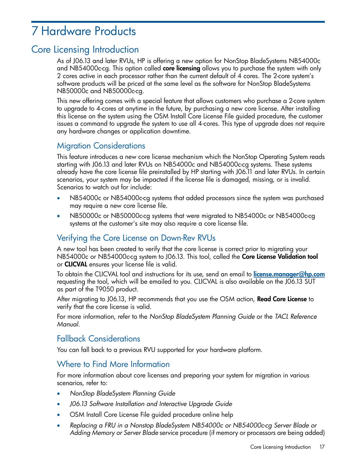## <span id="page-16-0"></span>7 Hardware Products

### Core Licensing Introduction

<span id="page-16-1"></span>As of J06.13 and later RVUs, HP is offering a new option for NonStop BladeSystems NB54000c and NB54000c-cg. This option called **core licensing** allows you to purchase the system with only 2 cores active in each processor rather than the current default of 4 cores. The 2-core system's software products will be priced at the same level as the software for NonStop BladeSystems NB50000c and NB50000c-cg.

This new offering comes with a special feature that allows customers who purchase a 2-core system to upgrade to 4-cores at anytime in the future, by purchasing a new core license. After installing this license on the system using the OSM Install Core License File guided procedure, the customer issues a command to upgrade the system to use all 4-cores. This type of upgrade does not require any hardware changes or application downtime.

#### Migration Considerations

This feature introduces a new core license mechanism which the NonStop Operating System reads starting with J06.13 and later RVUs on NB54000c and NB54000c-cg systems. These systems already have the core license file preinstalled by HP starting with J06.11 and later RVUs. In certain scenarios, your system may be impacted if the license file is damaged, missing, or is invalid. Scenarios to watch out for include:

- NB54000c or NB54000c-cg systems that added processors since the system was purchased may require a new core license file.
- NB50000c or NB50000c-cg systems that were migrated to NB54000c or NB54000c-cg systems at the customer's site may also require a core license file.

#### Verifying the Core License on Down-Rev RVUs

A new tool has been created to verify that the core license is correct prior to migrating your NB54000c or NB54000c-cg system to J06.13. This tool, called the **Core License Validation tool** or CLICVAL ensures your license file is valid.

To obtain the CLICVAL tool and instructions for its use, send an email to *[license.manager@hp.com](mailto:license.manager@hp.com)* requesting the tool, which will be emailed to you. CLICVAL is also available on the J06.13 SUT as part of the T9050 product.

After migrating to J06.13, HP recommends that you use the OSM action, **Read Core License** to verify that the core license is valid.

For more information, refer to the *NonStop BladeSystem Planning Guide* or the *TACL Reference Manual*.

#### Fallback Considerations

You can fall back to a previous RVU supported for your hardware platform.

#### Where to Find More Information

For more information about core licenses and preparing your system for migration in various scenarios, refer to:

- *NonStop BladeSystem Planning Guide*
- *J06.13 Software Installation and Interactive Upgrade Guide*
- OSM Install Core License File guided procedure online help
- *Replacing a FRU in a Nonstop BladeSystem NB54000c or NB54000c-cg Server Blade or Adding Memory or Server Blade* service procedure (if memory or processors are being added)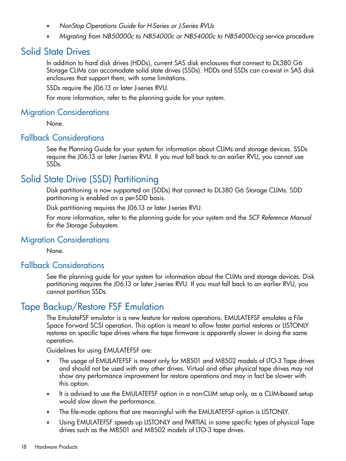- *NonStop Operations Guide for H-Series or J-Series RVUs*
- <span id="page-17-0"></span>• *Migrating from NB50000c to NB54000c or NB54000c to NB54000c-cg* service procedure

#### Solid State Drives

In addition to hard disk drives (HDDs), current SAS disk enclosures that connect to DL380 G6 Storage CLIMs can accomodate solid state drives (SSDs). HDDs and SSDs can co-exist in SAS disk enclosures that support them, with some limitations.

SSDs require the J06.13 or later J-series RVU.

<span id="page-17-1"></span>For more information, refer to the planning guide for your system.

#### Migration Considerations

<span id="page-17-2"></span>None.

#### Fallback Considerations

<span id="page-17-3"></span>See the Planning Guide for your system for information about CLIMs and storage devices. SSDs require the J06.13 or later J-series RVU. If you must fall back to an earlier RVU, you cannot use SSDs.

### Solid State Drive (SSD) Partitioning

Disk partitioning is now supported on (SDDs) that connect to DL380 G6 Storage CLIMs. SDD partitioning is enabled on a per-SDD basis.

<span id="page-17-4"></span>Disk partitioning requires the J06.13 or later J-series RVU.

<span id="page-17-5"></span>For more information, refer to the planning guide for your system and the *SCF Reference Manual for the Storage Subsystem*.

#### Migration Considerations

None.

#### Fallback Considerations

<span id="page-17-6"></span>See the planning guide for your system for information about the CLIMs and storage devices. Disk partitioning requires the J06.13 or later J-series RVU. If you must fall back to an earlier RVU, you cannot partition SSDs.

### Tape Backup/Restore FSF Emulation

The EmulateFSF emulator is a new feature for restore operations. EMULATEFSF emulates a File Space Forward SCSI operation. This option is meant to allow faster partial restores or LISTONLY restores on specific tape drives where the tape firmware is apparently slower in doing the same operation.

Guidelines for using EMULATEFSF are:

- The usage of EMULATEFSF is meant only for M8501 and M8502 models of LTO-3 Tape drives and should not be used with any other drives. Virtual and other physical tape drives may not show any performance improvement for restore operations and may in fact be slower with this option.
- It is advised to use the EMULATEFSF option in a non-CLIM setup only, as a CLIM-based setup would slow down the performance.
- The file-mode options that are meaningful with the EMULATEFSF option is LISTONLY.
- Using EMULATEFSF speeds up LISTONLY and PARTIAL in some specific types of physical Tape drives such as the M8501 and M8502 models of LTO-3 tape drives.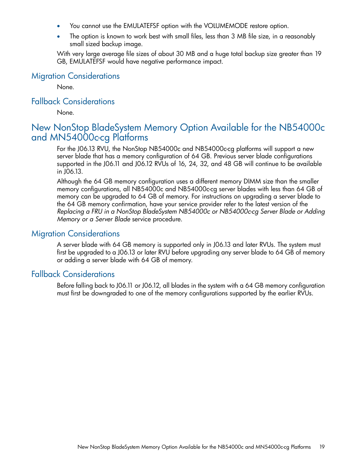- You cannot use the EMULATEFSF option with the VOLUMEMODE restore option.
- The option is known to work best with small files, less than 3 MB file size, in a reasonably small sized backup image.

<span id="page-18-0"></span>With very large average file sizes of about 30 MB and a huge total backup size greater than 19 GB, EMULATEFSF would have negative performance impact.

#### Migration Considerations

<span id="page-18-1"></span>None.

#### Fallback Considerations

<span id="page-18-2"></span>None.

### New NonStop BladeSystem Memory Option Available for the NB54000c and MN54000c-cg Platforms

For the J06.13 RVU, the NonStop NB54000c and NB54000c-cg platforms will support a new server blade that has a memory configuration of 64 GB. Previous server blade configurations supported in the J06.11 and J06.12 RVUs of 16, 24, 32, and 48 GB will continue to be available in J06.13.

<span id="page-18-3"></span>Although the 64 GB memory configuration uses a different memory DIMM size than the smaller memory configurations, all NB54000c and NB54000c-cg server blades with less than 64 GB of memory can be upgraded to 64 GB of memory. For instructions on upgrading a server blade to the 64 GB memory confirmation, have your service provider refer to the latest version of the *Replacing a FRU in a NonStop BladeSystem NB54000c or NB54000c-cg Server Blade or Adding Memory or a Server Blade* service procedure.

#### Migration Considerations

<span id="page-18-4"></span>A server blade with 64 GB memory is supported only in J06.13 and later RVUs. The system must first be upgraded to a J06.13 or later RVU before upgrading any server blade to 64 GB of memory or adding a server blade with 64 GB of memory.

#### Fallback Considerations

Before falling back to J06.11 or J06.12, all blades in the system with a 64 GB memory configuration must first be downgraded to one of the memory configurations supported by the earlier RVUs.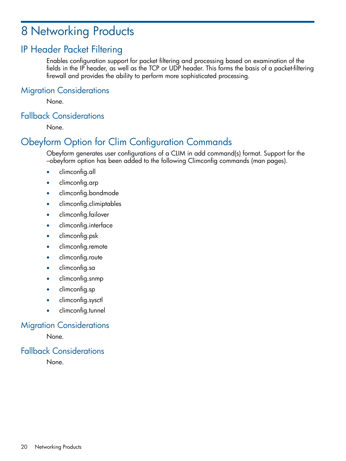## <span id="page-19-0"></span>8 Networking Products

### IP Header Packet Filtering

<span id="page-19-2"></span><span id="page-19-1"></span>Enables configuration support for packet filtering and processing based on examination of the fields in the IP header, as well as the TCP or UDP header. This forms the basis of a packet-filtering firewall and provides the ability to perform more sophisticated processing.

#### Migration Considerations

<span id="page-19-3"></span>None.

#### Fallback Considerations

<span id="page-19-4"></span>None.

### Obeyform Option for Clim Configuration Commands

Obeyform generates user configurations of a CLIM in add command(s) format. Support for the –obeyform option has been added to the following Climconfig commands (man pages).

- climconfig.all
- climconfig.arp
- climconfig.bondmode
- climconfig.climiptables
- climconfig.failover
- climconfig.interface
- climconfig.psk
- climconfig.remote
- climconfig.route
- climconfig.sa
- climconfig.snmp
- <span id="page-19-5"></span>• climconfig.sp
- climconfig.sysctl
- <span id="page-19-6"></span>• climconfig.tunnel

#### Migration Considerations

None.

#### Fallback Considerations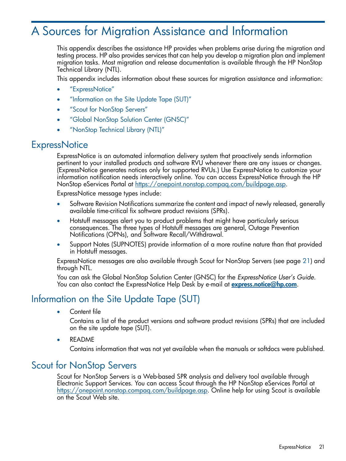## <span id="page-20-0"></span>A Sources for Migration Assistance and Information

This appendix describes the assistance HP provides when problems arise during the migration and testing process. HP also provides services that can help you develop a migration plan and implement migration tasks. Most migration and release documentation is available through the HP NonStop Technical Library (NTL).

This appendix includes information about these sources for migration assistance and information:

- ["ExpressNotice"](#page-20-1)
- ["Information](#page-20-2) on the Site Update Tape (SUT)"
- "Scout for [NonStop](#page-20-3) Servers"
- <span id="page-20-1"></span>• "Global NonStop Solution Center [\(GNSC\)"](#page-21-0)
- ["NonStop](#page-21-1) Technical Library (NTL)"

#### **ExpressNotice**

ExpressNotice is an automated information delivery system that proactively sends information pertinent to your installed products and software RVU whenever there are any issues or changes. (ExpressNotice generates notices only for supported RVUs.) Use ExpressNotice to customize your information notification needs interactively online. You can access ExpressNotice through the HP NonStop eServices Portal at <https://onepoint.nonstop.compaq.com/buildpage.asp>.

ExpressNotice message types include:

- Software Revision Notifications summarize the content and impact of newly released, generally available time-critical fix software product revisions (SPRs).
- Hotstuff messages alert you to product problems that might have particularly serious consequences. The three types of Hotstuff messages are general, Outage Prevention Notifications (OPNs), and Software Recall/Withdrawal.
- Support Notes (SUPNOTES) provide information of a more routine nature than that provided in Hotstuff messages.

<span id="page-20-2"></span>ExpressNotice messages are also available through Scout for NonStop Servers (see page [21\)](#page-20-3) and through NTL.

You can ask the Global NonStop Solution Center (GNSC) for the *ExpressNotice User's Guide*. You can also contact the ExpressNotice Help Desk by e-mail at **[express.notice@hp.com](mailto:express.notice@hp.com)**.

#### Information on the Site Update Tape (SUT)

<span id="page-20-3"></span>Content file

Contains a list of the product versions and software product revisions (SPRs) that are included on the site update tape (SUT).

• README

Contains information that was not yet available when the manuals or softdocs were published.

#### Scout for NonStop Servers

Scout for NonStop Servers is a Web-based SPR analysis and delivery tool available through Electronic Support Services. You can access Scout through the HP NonStop eServices Portal at [https://onepoint.nonstop.compaq.com/buildpage.asp.](https://onepoint.nonstop.compaq.com/buildpage.asp) Online help for using Scout is available on the Scout Web site.